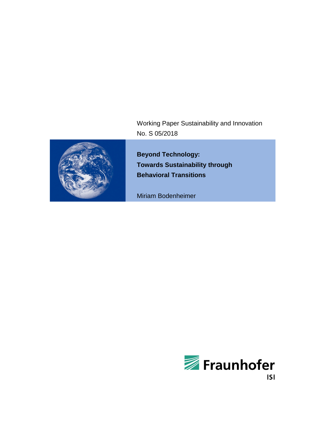Working Paper Sustainability and Innovation No. S 05/2018



**Beyond Technology: Towards Sustainability through Behavioral Transitions**

Miriam Bodenheimer

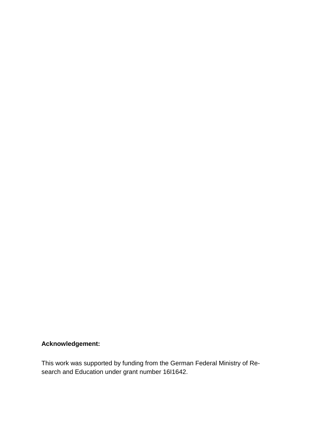# **Acknowledgement:**

This work was supported by funding from the German Federal Ministry of Research and Education under grant number 16I1642.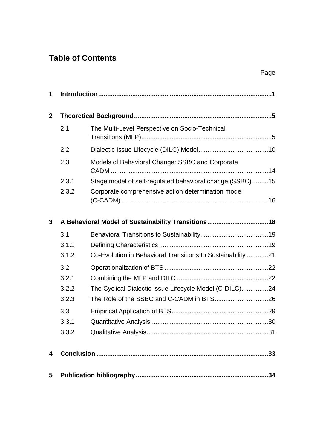# **Table of Contents**

| 1              |       |                                                             |  |  |  |
|----------------|-------|-------------------------------------------------------------|--|--|--|
| $\overline{2}$ |       |                                                             |  |  |  |
|                | 2.1   | The Multi-Level Perspective on Socio-Technical              |  |  |  |
|                | 2.2   |                                                             |  |  |  |
|                | 2.3   | Models of Behavioral Change: SSBC and Corporate             |  |  |  |
|                | 2.3.1 | Stage model of self-regulated behavioral change (SSBC)15    |  |  |  |
|                | 2.3.2 | Corporate comprehensive action determination model          |  |  |  |
| 3              |       | A Behavioral Model of Sustainability Transitions18          |  |  |  |
|                | 3.1   |                                                             |  |  |  |
|                | 3.1.1 |                                                             |  |  |  |
|                | 3.1.2 | Co-Evolution in Behavioral Transitions to Sustainability 21 |  |  |  |
|                | 3.2   |                                                             |  |  |  |
|                | 3.2.1 |                                                             |  |  |  |
|                | 3.2.2 | The Cyclical Dialectic Issue Lifecycle Model (C-DILC)24     |  |  |  |
|                | 3.2.3 |                                                             |  |  |  |
|                | 3.3   |                                                             |  |  |  |
|                | 3.3.1 |                                                             |  |  |  |
|                | 3.3.2 |                                                             |  |  |  |
| 4              |       |                                                             |  |  |  |
| 5              |       |                                                             |  |  |  |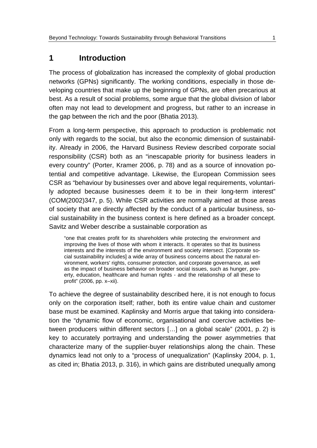# **1 Introduction**

The process of globalization has increased the complexity of global production networks (GPNs) significantly. The working conditions, especially in those developing countries that make up the beginning of GPNs, are often precarious at best. As a result of social problems, some argue that the global division of labor often may not lead to development and progress, but rather to an increase in the gap between the rich and the poor (Bhatia 2013).

From a long-term perspective, this approach to production is problematic not only with regards to the social, but also the economic dimension of sustainability. Already in 2006, the Harvard Business Review described corporate social responsibility (CSR) both as an "inescapable priority for business leaders in every country" (Porter, Kramer 2006, p. 78) and as a source of innovation potential and competitive advantage. Likewise, the European Commission sees CSR as "behaviour by businesses over and above legal requirements, voluntarily adopted because businesses deem it to be in their long-term interest" (COM(2002)347, p. 5). While CSR activities are normally aimed at those areas of society that are directly affected by the conduct of a particular business, social sustainability in the business context is here defined as a broader concept. Savitz and Weber describe a sustainable corporation as

"one that creates profit for its shareholders while protecting the environment and improving the lives of those with whom it interacts. It operates so that its business interests and the interests of the environment and society intersect. [Corporate social sustainability includes] a wide array of business concerns about the natural environment, workers' rights, consumer protection, and corporate governance, as well as the impact of business behavior on broader social issues, such as hunger, poverty, education, healthcare and human rights - and the relationship of all these to profit" (2006, pp. x–xii).

To achieve the degree of sustainability described here, it is not enough to focus only on the corporation itself; rather, both its entire value chain and customer base must be examined. Kaplinsky and Morris argue that taking into consideration the "dynamic flow of economic, organisational and coercive activities between producers within different sectors […] on a global scale" (2001, p. 2) is key to accurately portraying and understanding the power asymmetries that characterize many of the supplier-buyer relationships along the chain. These dynamics lead not only to a "process of unequalization" (Kaplinsky 2004, p. 1, as cited in; Bhatia 2013, p. 316), in which gains are distributed unequally among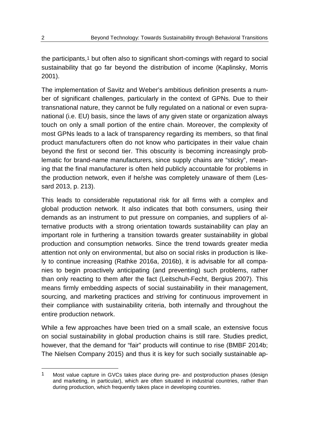the participants,[1](#page-5-0) but often also to significant short-comings with regard to social sustainability that go far beyond the distribution of income (Kaplinsky, Morris 2001).

The implementation of Savitz and Weber's ambitious definition presents a number of significant challenges, particularly in the context of GPNs. Due to their transnational nature, they cannot be fully regulated on a national or even supranational (i.e. EU) basis, since the laws of any given state or organization always touch on only a small portion of the entire chain. Moreover, the complexity of most GPNs leads to a lack of transparency regarding its members, so that final product manufacturers often do not know who participates in their value chain beyond the first or second tier. This obscurity is becoming increasingly problematic for brand-name manufacturers, since supply chains are "sticky", meaning that the final manufacturer is often held publicly accountable for problems in the production network, even if he/she was completely unaware of them (Lessard 2013, p. 213).

This leads to considerable reputational risk for all firms with a complex and global production network. It also indicates that both consumers, using their demands as an instrument to put pressure on companies, and suppliers of alternative products with a strong orientation towards sustainability can play an important role in furthering a transition towards greater sustainability in global production and consumption networks. Since the trend towards greater media attention not only on environmental, but also on social risks in production is likely to continue increasing (Rathke 2016a, 2016b), it is advisable for all companies to begin proactively anticipating (and preventing) such problems, rather than only reacting to them after the fact (Leitschuh-Fecht, Bergius 2007). This means firmly embedding aspects of social sustainability in their management, sourcing, and marketing practices and striving for continuous improvement in their compliance with sustainability criteria, both internally and throughout the entire production network.

While a few approaches have been tried on a small scale, an extensive focus on social sustainability in global production chains is still rare. Studies predict, however, that the demand for "fair" products will continue to rise (BMBF 2014b; The Nielsen Company 2015) and thus it is key for such socially sustainable ap-

<span id="page-5-0"></span> <sup>1</sup> Most value capture in GVCs takes place during pre- and postproduction phases (design and marketing, in particular), which are often situated in industrial countries, rather than during production, which frequently takes place in developing countries.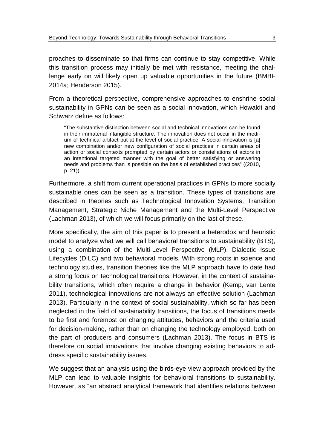proaches to disseminate so that firms can continue to stay competitive. While this transition process may initially be met with resistance, meeting the challenge early on will likely open up valuable opportunities in the future (BMBF 2014a; Henderson 2015).

From a theoretical perspective, comprehensive approaches to enshrine social sustainability in GPNs can be seen as a social innovation, which Howaldt and Schwarz define as follows:

"The substantive distinction between social and technical innovations can be found in their immaterial intangible structure. The innovation does not occur in the medium of technical artifact but at the level of social practice. A social innovation is [a] new combination and/or new configuration of social practices in certain areas of action or social contexts prompted by certain actors or constellations of actors in an intentional targeted manner with the goal of better satisfying or answering needs and problems than is possible on the basis of established practices" ((2010, p. 21)).

Furthermore, a shift from current operational practices in GPNs to more socially sustainable ones can be seen as a transition. These types of transitions are described in theories such as Technological Innovation Systems, Transition Management, Strategic Niche Management and the Multi-Level Perspective (Lachman 2013), of which we will focus primarily on the last of these.

More specifically, the aim of this paper is to present a heterodox and heuristic model to analyze what we will call behavioral transitions to sustainability (BTS), using a combination of the Multi-Level Perspective (MLP), Dialectic Issue Lifecycles (DILC) and two behavioral models. With strong roots in science and technology studies, transition theories like the MLP approach have to date had a strong focus on technological transitions. However, in the context of sustainability transitions, which often require a change in behavior (Kemp, van Lente 2011), technological innovations are not always an effective solution (Lachman 2013). Particularly in the context of social sustainability, which so far has been neglected in the field of sustainability transitions, the focus of transitions needs to be first and foremost on changing attitudes, behaviors and the criteria used for decision-making, rather than on changing the technology employed, both on the part of producers and consumers (Lachman 2013). The focus in BTS is therefore on social innovations that involve changing existing behaviors to address specific sustainability issues.

We suggest that an analysis using the birds-eye view approach provided by the MLP can lead to valuable insights for behavioral transitions to sustainability. However, as "an abstract analytical framework that identifies relations between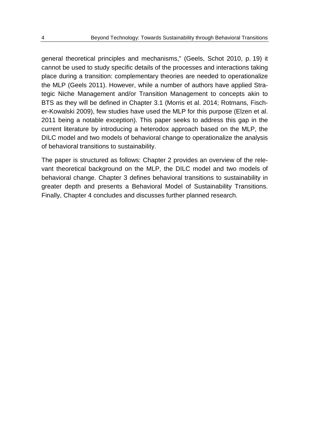general theoretical principles and mechanisms," (Geels, Schot 2010, p. 19) it cannot be used to study specific details of the processes and interactions taking place during a transition: complementary theories are needed to operationalize the MLP (Geels 2011). However, while a number of authors have applied Strategic Niche Management and/or Transition Management to concepts akin to BTS as they will be defined in Chapter [3.1](#page-22-0) (Morris et al. 2014; Rotmans, Fischer-Kowalski 2009), few studies have used the MLP for this purpose (Elzen et al. 2011 being a notable exception). This paper seeks to address this gap in the current literature by introducing a heterodox approach based on the MLP, the DILC model and two models of behavioral change to operationalize the analysis of behavioral transitions to sustainability.

The paper is structured as follows: Chapter [2](#page-8-0) provides an overview of the relevant theoretical background on the MLP, the DILC model and two models of behavioral change. Chapter [3](#page-21-0) defines behavioral transitions to sustainability in greater depth and presents a Behavioral Model of Sustainability Transitions. Finally, Chapter [4](#page-36-0) concludes and discusses further planned research.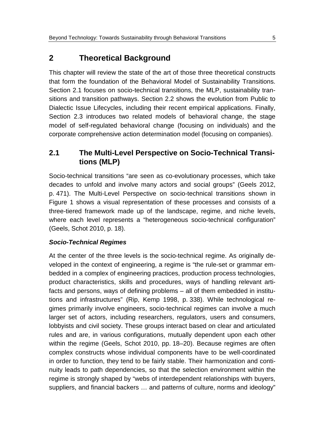# <span id="page-8-0"></span>**2 Theoretical Background**

This chapter will review the state of the art of those three theoretical constructs that form the foundation of the Behavioral Model of Sustainability Transitions. Section [2.1](#page-8-1) focuses on socio-technical transitions, the MLP, sustainability transitions and transition pathways. Section [2.2](#page-13-0) shows the evolution from Public to Dialectic Issue Lifecycles, including their recent empirical applications. Finally, Section [2.3](#page-17-0) introduces two related models of behavioral change, the stage model of self-regulated behavioral change (focusing on individuals) and the corporate comprehensive action determination model (focusing on companies).

## <span id="page-8-1"></span>**2.1 The Multi-Level Perspective on Socio-Technical Transitions (MLP)**

Socio-technical transitions "are seen as co-evolutionary processes, which take decades to unfold and involve many actors and social groups" (Geels 2012, p. 471). The Multi-Level Perspective on socio-technical transitions shown in Figure 1 shows a visual representation of these processes and consists of a three-tiered framework made up of the landscape, regime, and niche levels, where each level represents a "heterogeneous socio-technical configuration" (Geels, Schot 2010, p. 18).

#### *Socio-Technical Regimes*

At the center of the three levels is the socio-technical regime. As originally developed in the context of engineering, a regime is "the rule-set or grammar embedded in a complex of engineering practices, production process technologies, product characteristics, skills and procedures, ways of handling relevant artifacts and persons, ways of defining problems – all of them embedded in institutions and infrastructures" (Rip, Kemp 1998, p. 338). While technological regimes primarily involve engineers, socio-technical regimes can involve a much larger set of actors, including researchers, regulators, users and consumers, lobbyists and civil society. These groups interact based on clear and articulated rules and are, in various configurations, mutually dependent upon each other within the regime (Geels, Schot 2010, pp. 18–20). Because regimes are often complex constructs whose individual components have to be well-coordinated in order to function, they tend to be fairly stable. Their harmonization and continuity leads to path dependencies, so that the selection environment within the regime is strongly shaped by "webs of interdependent relationships with buyers, suppliers, and financial backers … and patterns of culture, norms and ideology"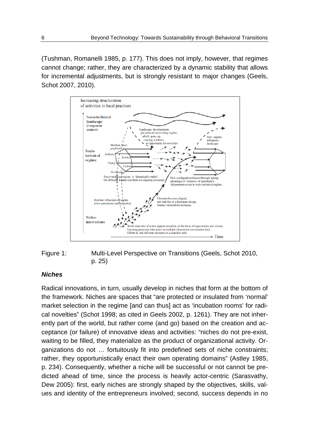(Tushman, Romanelli 1985, p. 177). This does not imply, however, that regimes cannot change; rather, they are characterized by a dynamic stability that allows for incremental adjustments, but is strongly resistant to major changes (Geels, Schot 2007, 2010).



#### <span id="page-9-0"></span>Figure 1: Multi-Level Perspective on Transitions (Geels, Schot 2010, p. 25)

#### *Niches*

Radical innovations, in turn, usually develop in niches that form at the bottom of the framework. Niches are spaces that "are protected or insulated from 'normal' market selection in the regime [and can thus] act as 'incubation rooms' for radical novelties" (Schot 1998; as cited in Geels 2002, p. 1261). They are not inherently part of the world, but rather come (and go) based on the creation and acceptance (or failure) of innovative ideas and activities: "niches do not pre-exist, waiting to be filled, they materialize as the product of organizational activity. Organizations do not … fortuitously fit into predefined sets of niche constraints; rather, they opportunistically enact their own operating domains" (Astley 1985, p. 234). Consequently, whether a niche will be successful or not cannot be predicted ahead of time, since the process is heavily actor-centric (Sarasvathy, Dew 2005): first, early niches are strongly shaped by the objectives, skills, values and identity of the entrepreneurs involved; second, success depends in no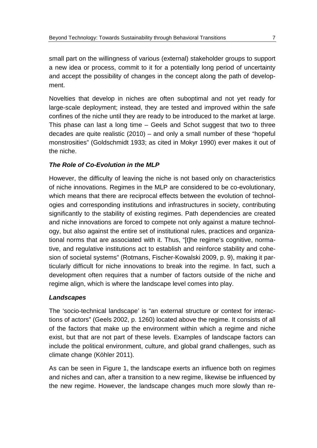small part on the willingness of various (external) stakeholder groups to support a new idea or process, commit to it for a potentially long period of uncertainty and accept the possibility of changes in the concept along the path of development.

Novelties that develop in niches are often suboptimal and not yet ready for large-scale deployment; instead, they are tested and improved within the safe confines of the niche until they are ready to be introduced to the market at large. This phase can last a long time – Geels and Schot suggest that two to three decades are quite realistic (2010) – and only a small number of these "hopeful monstrosities" (Goldschmidt 1933; as cited in Mokyr 1990) ever makes it out of the niche.

### *The Role of Co-Evolution in the MLP*

However, the difficulty of leaving the niche is not based only on characteristics of niche innovations. Regimes in the MLP are considered to be co-evolutionary, which means that there are reciprocal effects between the evolution of technologies and corresponding institutions and infrastructures in society, contributing significantly to the stability of existing regimes. Path dependencies are created and niche innovations are forced to compete not only against a mature technology, but also against the entire set of institutional rules, practices and organizational norms that are associated with it. Thus, "[t]he regime's cognitive, normative, and regulative institutions act to establish and reinforce stability and cohesion of societal systems" (Rotmans, Fischer-Kowalski 2009, p. 9), making it particularly difficult for niche innovations to break into the regime. In fact, such a development often requires that a number of factors outside of the niche and regime align, which is where the landscape level comes into play.

#### *Landscapes*

The 'socio-technical landscape' is "an external structure or context for interactions of actors" (Geels 2002, p. 1260) located above the regime. It consists of all of the factors that make up the environment within which a regime and niche exist, but that are not part of these levels. Examples of landscape factors can include the political environment, culture, and global grand challenges, such as climate change (Köhler 2011).

As can be seen in [Figure 1,](#page-9-0) the landscape exerts an influence both on regimes and niches and can, after a transition to a new regime, likewise be influenced by the new regime. However, the landscape changes much more slowly than re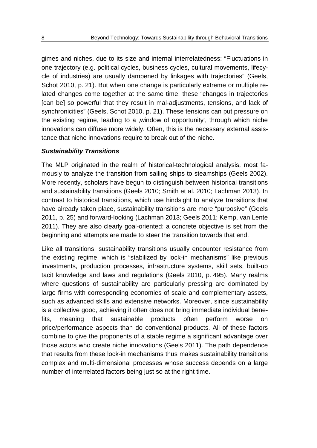gimes and niches, due to its size and internal interrelatedness: "Fluctuations in one trajectory (e.g. political cycles, business cycles, cultural movements, lifecycle of industries) are usually dampened by linkages with trajectories" (Geels, Schot 2010, p. 21). But when one change is particularly extreme or multiple related changes come together at the same time, these "changes in trajectories [can be] so powerful that they result in mal-adjustments, tensions, and lack of synchronicities" (Geels, Schot 2010, p. 21). These tensions can put pressure on the existing regime, leading to a 'window of opportunity', through which niche innovations can diffuse more widely. Often, this is the necessary external assistance that niche innovations require to break out of the niche.

#### *Sustainability Transitions*

The MLP originated in the realm of historical-technological analysis, most famously to analyze the transition from sailing ships to steamships (Geels 2002). More recently, scholars have begun to distinguish between historical transitions and sustainability transitions (Geels 2010; Smith et al. 2010; Lachman 2013). In contrast to historical transitions, which use hindsight to analyze transitions that have already taken place, sustainability transitions are more "purposive" (Geels 2011, p. 25) and forward-looking (Lachman 2013; Geels 2011; Kemp, van Lente 2011). They are also clearly goal-oriented: a concrete objective is set from the beginning and attempts are made to steer the transition towards that end.

Like all transitions, sustainability transitions usually encounter resistance from the existing regime, which is "stabilized by lock-in mechanisms" like previous investments, production processes, infrastructure systems, skill sets, built-up tacit knowledge and laws and regulations (Geels 2010, p. 495). Many realms where questions of sustainability are particularly pressing are dominated by large firms with corresponding economies of scale and complementary assets, such as advanced skills and extensive networks. Moreover, since sustainability is a collective good, achieving it often does not bring immediate individual benefits, meaning that sustainable products often perform worse on price/performance aspects than do conventional products. All of these factors combine to give the proponents of a stable regime a significant advantage over those actors who create niche innovations (Geels 2011). The path dependence that results from these lock-in mechanisms thus makes sustainability transitions complex and multi-dimensional processes whose success depends on a large number of interrelated factors being just so at the right time.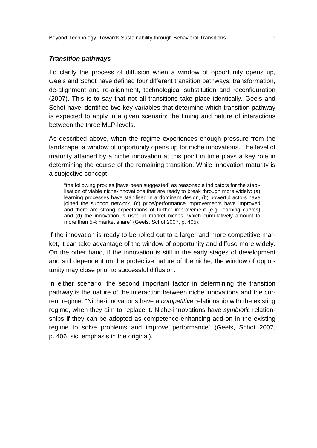#### *Transition pathways*

To clarify the process of diffusion when a window of opportunity opens up, Geels and Schot have defined four different transition pathways: transformation, de-alignment and re-alignment, technological substitution and reconfiguration (2007). This is to say that not all transitions take place identically. Geels and Schot have identified two key variables that determine which transition pathway is expected to apply in a given scenario: the timing and nature of interactions between the three MLP-levels.

As described above, when the regime experiences enough pressure from the landscape, a window of opportunity opens up for niche innovations. The level of maturity attained by a niche innovation at this point in time plays a key role in determining the course of the remaining transition. While innovation maturity is a subjective concept,

"the following proxies [have been suggested] as reasonable indicators for the stabilisation of viable niche-innovations that are ready to break through more widely: (a) learning processes have stabilised in a dominant design, (b) powerful actors have joined the support network, (c) price/performance improvements have improved and there are strong expectations of further improvement (e.g. learning curves) and (d) the innovation is used in market niches, which cumulatively amount to more than 5% market share" (Geels, Schot 2007, p. 405).

If the innovation is ready to be rolled out to a larger and more competitive market, it can take advantage of the window of opportunity and diffuse more widely. On the other hand, if the innovation is still in the early stages of development and still dependent on the protective nature of the niche, the window of opportunity may close prior to successful diffusion.

In either scenario, the second important factor in determining the transition pathway is the nature of the interaction between niche innovations and the current regime: "Niche-innovations have a *competitive* relationship with the existing regime, when they aim to replace it. Niche-innovations have *symbiotic* relationships if they can be adopted as competence-enhancing add-on in the existing regime to solve problems and improve performance" (Geels, Schot 2007, p. 406, sic, emphasis in the original).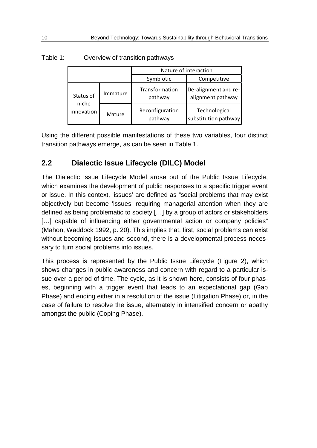|                    |          | Nature of interaction      |                                           |  |
|--------------------|----------|----------------------------|-------------------------------------------|--|
|                    |          | Symbiotic                  | Competitive                               |  |
| Status of<br>niche | Immature | Transformation<br>pathway  | De-alignment and re-<br>alignment pathway |  |
| innovation         | Mature   | Reconfiguration<br>pathway | Technological<br>substitution pathway     |  |

<span id="page-13-1"></span>Table 1: Overview of transition pathways

Using the different possible manifestations of these two variables, four distinct transition pathways emerge, as can be seen in [Table 1.](#page-13-1)

## <span id="page-13-0"></span>**2.2 Dialectic Issue Lifecycle (DILC) Model**

The Dialectic Issue Lifecycle Model arose out of the Public Issue Lifecycle, which examines the development of public responses to a specific trigger event or issue. In this context, 'issues' are defined as "social problems that may exist objectively but become 'issues' requiring managerial attention when they are defined as being problematic to society […] by a group of actors or stakeholders [...] capable of influencing either governmental action or company policies" (Mahon, Waddock 1992, p. 20). This implies that, first, social problems can exist without becoming issues and second, there is a developmental process necessary to turn social problems into issues.

This process is represented by the Public Issue Lifecycle [\(Figure 2\)](#page-14-0), which shows changes in public awareness and concern with regard to a particular issue over a period of time. The cycle, as it is shown here, consists of four phases, beginning with a trigger event that leads to an expectational gap (Gap Phase) and ending either in a resolution of the issue (Litigation Phase) or, in the case of failure to resolve the issue, alternately in intensified concern or apathy amongst the public (Coping Phase).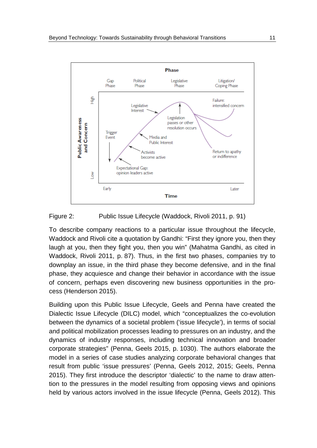

#### <span id="page-14-0"></span>Figure 2: Public Issue Lifecycle (Waddock, Rivoli 2011, p. 91)

To describe company reactions to a particular issue throughout the lifecycle, Waddock and Rivoli cite a quotation by Gandhi: "First they ignore you, then they laugh at you, then they fight you, then you win" (Mahatma Gandhi, as cited in Waddock, Rivoli 2011, p. 87). Thus, in the first two phases, companies try to downplay an issue, in the third phase they become defensive, and in the final phase, they acquiesce and change their behavior in accordance with the issue of concern, perhaps even discovering new business opportunities in the process (Henderson 2015).

Building upon this Public Issue Lifecycle, Geels and Penna have created the Dialectic Issue Lifecycle (DILC) model, which "conceptualizes the co-evolution between the dynamics of a societal problem ('issue lifecycle'), in terms of social and political mobilization processes leading to pressures on an industry, and the dynamics of industry responses, including technical innovation and broader corporate strategies" (Penna, Geels 2015, p. 1030). The authors elaborate the model in a series of case studies analyzing corporate behavioral changes that result from public 'issue pressures' (Penna, Geels 2012, 2015; Geels, Penna 2015). They first introduce the descriptor 'dialectic' to the name to draw attention to the pressures in the model resulting from opposing views and opinions held by various actors involved in the issue lifecycle (Penna, Geels 2012). This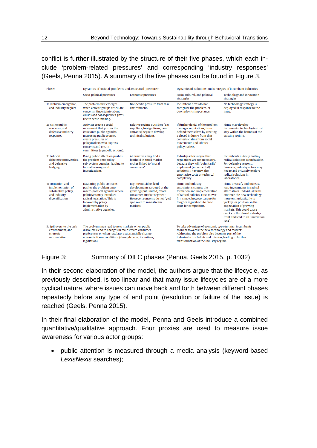conflict is further illustrated by the structure of their five phases, which each include 'problem-related pressures' and corresponding 'industry responses' (Geels, Penna 2015). A summary of the five phases can be found in [Figure 3.](#page-15-0)

| <b>Phases</b>                                                                                   | Dynamics of societal 'problems' and associated 'pressures'                                                                                                                                                                            |                                                                                                                                                                                              | Dynamics of 'solutions' and strategies of incumbent industries                                                                                                                                                                                                      |                                                                                                                                                                                                                                                                                                                               |  |
|-------------------------------------------------------------------------------------------------|---------------------------------------------------------------------------------------------------------------------------------------------------------------------------------------------------------------------------------------|----------------------------------------------------------------------------------------------------------------------------------------------------------------------------------------------|---------------------------------------------------------------------------------------------------------------------------------------------------------------------------------------------------------------------------------------------------------------------|-------------------------------------------------------------------------------------------------------------------------------------------------------------------------------------------------------------------------------------------------------------------------------------------------------------------------------|--|
|                                                                                                 | Socio-political pressures                                                                                                                                                                                                             | <b>Economic pressures</b>                                                                                                                                                                    | Socio-cultural, and political<br>strategies                                                                                                                                                                                                                         | <b>Technology and innovation</b><br>strategies                                                                                                                                                                                                                                                                                |  |
| 1: Problem emergence,<br>and industry neglect                                                   | The problem first emerges<br>when activist groups articulate<br>concerns. Uncertainty about<br>causes and consequences gives<br>rise to sense-making.                                                                                 | No specific pressure from task<br>environment.                                                                                                                                               | Incumbent firms do not<br>recognize the problem, or<br>downplay its importance.                                                                                                                                                                                     | No technology strategy is<br>deployed in response to the<br>issue.                                                                                                                                                                                                                                                            |  |
| 2: Rising public<br>concerns, and<br>defensive industry<br>responses                            | Activists create a social<br>movement that pushes the<br>issue onto public agendas.<br>Increasing public worries<br>create pressures on<br>policymakers who express<br>concerns and create<br>committees (symbolic actions).          | Relative regime outsiders (e.g.<br>suppliers, foreign firms, new<br>entrants) begin to develop<br>technical solutions.                                                                       | If further denial of the problem<br>damages reputations, firms<br>defend themselves by creating<br>a closed industry front that<br>contests claims from social<br>movements and lobbies<br>policymakers.                                                            | Firms may develop<br>incremental technologies that<br>stay within the bounds of the<br>existing regime.                                                                                                                                                                                                                       |  |
| 3: Political<br>debates/controversies.<br>and defensive<br>hedging                              | Rising public attention pushes<br>the problem onto policy<br>sub-system agendas, leading to<br>formal hearings and<br>investigations.                                                                                                 | Alternatives may find a<br>foothold in small market<br>niches linked to 'moral<br>consumers'.                                                                                                | Industry actors argue that<br>regulations are not necessary,<br>because they will 'voluntarily'<br>implement (incremental)<br>solutions. They may also<br>emphasize costs or technical<br>complexity.                                                               | Incumbents publicly portray<br>radical solutions as unfeasible.<br>For defensive reasons.<br>however, industry actors may<br>hedge and privately explore<br>radical solutions in<br>laboratories.                                                                                                                             |  |
| 4: Formation and<br>implementation of<br>substantive policy,<br>and industry<br>diversification | <b>Escalating public concerns</b><br>pushes the problem onto<br>macro-political agendas where<br>politicians may introduce<br>radical legislation. This is<br>followed by policy<br>implementation by<br>administrative agencies.     | Regime outsiders lead<br>developments targeted at the<br>growing (but limited) 'moral<br>consumer' market segment.<br>However, concerns do not (yet)<br>spill over to mainstream<br>markets. | Firms and industry<br>associations contest the<br>formation and implementation<br>of radical policies. First-mover<br>firms may, however, argue for<br>tougher regulations to raise<br>costs for competitors.                                                       | Firms diversify and increase<br>R&D investments in radical<br>alternatives. Individual firms<br>embrace the new technology<br>more enthusiastically to<br>'jockey for position' in the<br>expectation of growing<br>markets. This could cause.<br>cracks in the closed industry<br>front and lead to an 'innovation<br>race'. |  |
| 5: Spillovers to the task<br>environment, and<br>strategic<br>reorientation                     | The problem may lead to new markets when public<br>discourses lead to changes in mainstream consumer<br>preferences or when regulators substantially change<br>economic frame conditions (through taxes, incentives,<br>legislation). |                                                                                                                                                                                              | To take advantage of economic opportunities, incumbents<br>reorient towards the new technology and markets.<br>Addressing the problem also becomes part of the<br>industry's core beliefs and mission, leading to further<br>transformation of the industry regime. |                                                                                                                                                                                                                                                                                                                               |  |

#### <span id="page-15-0"></span>Figure 3: Summary of DILC phases (Penna, Geels 2015, p. 1032)

In their second elaboration of the model, the authors argue that the lifecycle, as previously described, is too linear and that many issue lifecycles are of a more cyclical nature, where issues can move back and forth between different phases repeatedly before any type of end point (resolution or failure of the issue) is reached (Geels, Penna 2015).

In their final elaboration of the model, Penna and Geels introduce a combined quantitative/qualitative approach. Four proxies are used to measure issue awareness for various actor groups:

• public attention is measured through a media analysis (keyword-based *LexisNexis* searches);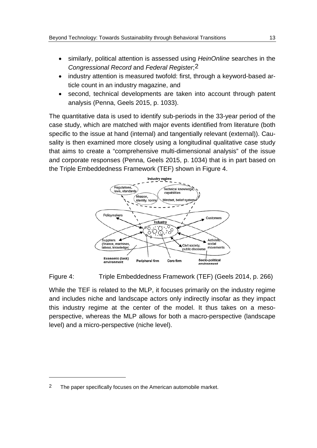- similarly, political attention is assessed using *HeinOnline* searches in the *Congressional Record* and *Federal Register*;[2](#page-16-1)
- industry attention is measured twofold: first, through a keyword-based article count in an industry magazine, and
- second, technical developments are taken into account through patent analysis (Penna, Geels 2015, p. 1033).

The quantitative data is used to identify sub-periods in the 33-year period of the case study, which are matched with major events identified from literature (both specific to the issue at hand (internal) and tangentially relevant (external)). Causality is then examined more closely using a longitudinal qualitative case study that aims to create a "comprehensive multi-dimensional analysis" of the issue and corporate responses (Penna, Geels 2015, p. 1034) that is in part based on the Triple Embeddedness Framework (TEF) shown in [Figure 4.](#page-16-0)



#### <span id="page-16-0"></span>Figure 4: Triple Embeddedness Framework (TEF) (Geels 2014, p. 266)

While the TEF is related to the MLP, it focuses primarily on the industry regime and includes niche and landscape actors only indirectly insofar as they impact this industry regime at the center of the model. It thus takes on a mesoperspective, whereas the MLP allows for both a macro-perspective (landscape level) and a micro-perspective (niche level).

 $\overline{a}$ 

<span id="page-16-1"></span><sup>2</sup> The paper specifically focuses on the American automobile market.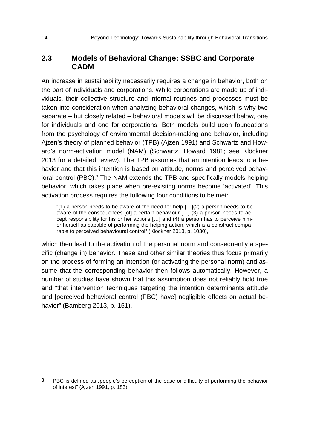### <span id="page-17-0"></span>**2.3 Models of Behavioral Change: SSBC and Corporate CADM**

An increase in sustainability necessarily requires a change in behavior, both on the part of individuals and corporations. While corporations are made up of individuals, their collective structure and internal routines and processes must be taken into consideration when analyzing behavioral changes, which is why two separate – but closely related – behavioral models will be discussed below, one for individuals and one for corporations. Both models build upon foundations from the psychology of environmental decision-making and behavior, including Ajzen's theory of planned behavior (TPB) (Ajzen 1991) and Schwartz and Howard's norm-activation model (NAM) (Schwartz, Howard 1981; see Klöckner 2013 for a detailed review). The TPB assumes that an intention leads to a behavior and that this intention is based on attitude, norms and perceived behav-ioral control (PBC).<sup>[3](#page-17-1)</sup> The NAM extends the TPB and specifically models helping behavior, which takes place when pre-existing norms become 'activated'. This activation process requires the following four conditions to be met:

"(1) a person needs to be aware of the need for help  $[...](2)$  a person needs to be aware of the consequences [of] a certain behaviour […] (3) a person needs to accept responsibility for his or her actions […] and (4) a person has to perceive himor herself as capable of performing the helping action, which is a construct comparable to perceived behavioural control" (Klöckner 2013, p. 1030),

which then lead to the activation of the personal norm and consequently a specific (change in) behavior. These and other similar theories thus focus primarily on the process of forming an intention (or activating the personal norm) and assume that the corresponding behavior then follows automatically. However, a number of studies have shown that this assumption does not reliably hold true and "that intervention techniques targeting the intention determinants attitude and [perceived behavioral control (PBC) have] negligible effects on actual behavior" (Bamberg 2013, p. 151).

-

<span id="page-17-1"></span><sup>&</sup>lt;sup>3</sup> PBC is defined as "people's perception of the ease or difficulty of performing the behavior of interest" (Ajzen 1991, p. 183).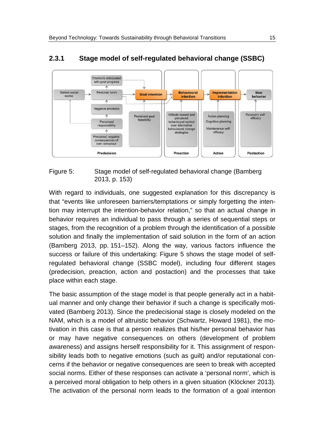

### **2.3.1 Stage model of self-regulated behavioral change (SSBC)**

#### <span id="page-18-0"></span>Figure 5: Stage model of self-regulated behavioral change (Bamberg 2013, p. 153)

With regard to individuals, one suggested explanation for this discrepancy is that "events like unforeseen barriers/temptations or simply forgetting the intention may interrupt the intention-behavior relation," so that an actual change in behavior requires an individual to pass through a series of sequential steps or stages, from the recognition of a problem through the identification of a possible solution and finally the implementation of said solution in the form of an action (Bamberg 2013, pp. 151–152). Along the way, various factors influence the success or failure of this undertaking: [Figure 5](#page-18-0) shows the stage model of selfregulated behavioral change (SSBC model), including four different stages (predecision, preaction, action and postaction) and the processes that take place within each stage.

The basic assumption of the stage model is that people generally act in a habitual manner and only change their behavior if such a change is specifically motivated (Bamberg 2013). Since the predecisional stage is closely modeled on the NAM, which is a model of altruistic behavior (Schwartz, Howard 1981), the motivation in this case is that a person realizes that his/her personal behavior has or may have negative consequences on others (development of problem awareness) and assigns herself responsibility for it. This assignment of responsibility leads both to negative emotions (such as guilt) and/or reputational concerns if the behavior or negative consequences are seen to break with accepted social norms. Either of these responses can activate a 'personal norm', which is a perceived moral obligation to help others in a given situation (Klöckner 2013). The activation of the personal norm leads to the formation of a goal intention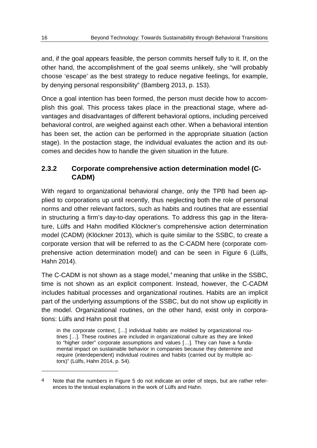and, if the goal appears feasible, the person commits herself fully to it. If, on the other hand, the accomplishment of the goal seems unlikely, she "will probably choose 'escape' as the best strategy to reduce negative feelings, for example, by denying personal responsibility" (Bamberg 2013, p. 153).

Once a goal intention has been formed, the person must decide how to accomplish this goal. This process takes place in the preactional stage, where advantages and disadvantages of different behavioral options, including perceived behavioral control, are weighed against each other. When a behavioral intention has been set, the action can be performed in the appropriate situation (action stage). In the postaction stage, the individual evaluates the action and its outcomes and decides how to handle the given situation in the future.

## **2.3.2 Corporate comprehensive action determination model (C-CADM)**

With regard to organizational behavioral change, only the TPB had been applied to corporations up until recently, thus neglecting both the role of personal norms and other relevant factors, such as habits and routines that are essential in structuring a firm's day-to-day operations. To address this gap in the literature, Lülfs and Hahn modified Klöckner's comprehensive action determination model (CADM) (Klöckner 2013), which is quite similar to the SSBC, to create a corporate version that will be referred to as the C-CADM here (corporate comprehensive action determination model) and can be seen in [Figure 6](#page-20-0) (Lülfs, Hahn 2014).

The C-CADM is not shown as a stage model,<sup>[4](#page-19-0)</sup> meaning that unlike in the SSBC, time is not shown as an explicit component. Instead, however, the C-CADM includes habitual processes and organizational routines. Habits are an implicit part of the underlying assumptions of the SSBC, but do not show up explicitly in the model. Organizational routines, on the other hand, exist only in corporations: Lülfs and Hahn posit that

in the corporate context, […] individual habits are molded by organizational routines […]. These routines are included in organizational culture as they are linked to "higher order" corporate assumptions and values […]. They can have a fundamental impact on sustainable behavior in companies because they determine and require (interdependent) individual routines and habits (carried out by multiple actors)" (Lülfs, Hahn 2014, p. 54).

-

<span id="page-19-0"></span><sup>4</sup> Note that the numbers in Figure 5 do not indicate an order of steps, but are rather references to the textual explanations in the work of Lülfs and Hahn.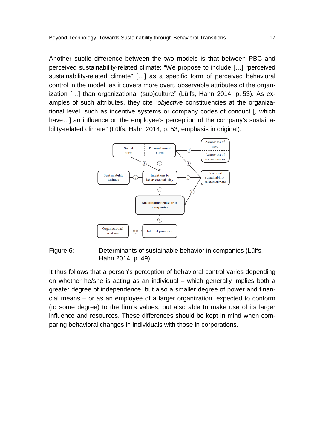Another subtle difference between the two models is that between PBC and perceived sustainability-related climate: "We propose to include […] "perceived sustainability-related climate" […] as a specific form of perceived behavioral control in the model, as it covers more overt, observable attributes of the organization […] than organizational (sub)culture" (Lülfs, Hahn 2014, p. 53). As examples of such attributes, they cite "*objective* constituencies at the organizational level, such as incentive systems or company codes of conduct [, which have...] an influence on the employee's perception of the company's sustainability-related climate" (Lülfs, Hahn 2014, p. 53, emphasis in original).



#### <span id="page-20-0"></span>Figure 6: Determinants of sustainable behavior in companies (Lülfs, Hahn 2014, p. 49)

It thus follows that a person's perception of behavioral control varies depending on whether he/she is acting as an individual – which generally implies both a greater degree of independence, but also a smaller degree of power and financial means – or as an employee of a larger organization, expected to conform (to some degree) to the firm's values, but also able to make use of its larger influence and resources. These differences should be kept in mind when comparing behavioral changes in individuals with those in corporations.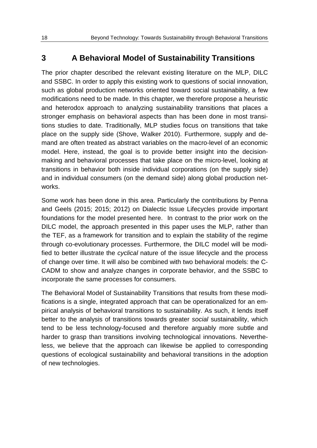# <span id="page-21-0"></span>**3 A Behavioral Model of Sustainability Transitions**

The prior chapter described the relevant existing literature on the MLP, DILC and SSBC. In order to apply this existing work to questions of social innovation, such as global production networks oriented toward social sustainability, a few modifications need to be made. In this chapter, we therefore propose a heuristic and heterodox approach to analyzing sustainability transitions that places a stronger emphasis on behavioral aspects than has been done in most transitions studies to date. Traditionally, MLP studies focus on transitions that take place on the supply side (Shove, Walker 2010). Furthermore, supply and demand are often treated as abstract variables on the macro-level of an economic model. Here, instead, the goal is to provide better insight into the decisionmaking and behavioral processes that take place on the micro-level, looking at transitions in behavior both inside individual corporations (on the supply side) and in individual consumers (on the demand side) along global production networks.

Some work has been done in this area. Particularly the contributions by Penna and Geels (2015; 2015; 2012) on Dialectic Issue Lifecycles provide important foundations for the model presented here. In contrast to the prior work on the DILC model, the approach presented in this paper uses the MLP, rather than the TEF, as a framework for transition and to explain the stability of the regime through co-evolutionary processes. Furthermore, the DILC model will be modified to better illustrate the *cyclical* nature of the issue lifecycle and the process of change over time. It will also be combined with two behavioral models: the C-CADM to show and analyze changes in corporate behavior, and the SSBC to incorporate the same processes for consumers.

The Behavioral Model of Sustainability Transitions that results from these modifications is a single, integrated approach that can be operationalized for an empirical analysis of behavioral transitions to sustainability. As such, it lends itself better to the analysis of transitions towards greater *social* sustainability, which tend to be less technology-focused and therefore arguably more subtle and harder to grasp than transitions involving technological innovations. Nevertheless, we believe that the approach can likewise be applied to corresponding questions of ecological sustainability and behavioral transitions in the adoption of new technologies.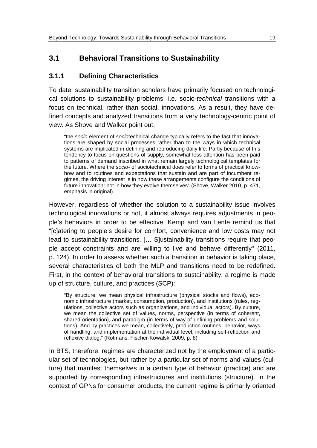## <span id="page-22-0"></span>**3.1 Behavioral Transitions to Sustainability**

### **3.1.1 Defining Characteristics**

To date, sustainability transition scholars have primarily focused on technological solutions to sustainability problems, i.e. socio-*technical* transitions with a focus on technical, rather than social, innovations. As a result, they have defined concepts and analyzed transitions from a very technology-centric point of view. As Shove and Walker point out,

"the *socio* element of *socio*technical change typically refers to the fact that innovations are shaped by social processes rather than to the ways in which technical systems are implicated in defining and reproducing daily life. Partly because of this tendency to focus on questions of supply, somewhat less attention has been paid to patterns of demand inscribed in what remain largely technological templates for the future. Where the *socio*- of sociotechnical does refer to forms of practical knowhow and to routines and expectations that sustain and are part of incumbent regimes, the driving interest is in how these arrangements configure the conditions of future innovation: not in how they evolve themselves" (Shove, Walker 2010, p. 471, emphasis in original).

However, regardless of whether the solution to a sustainability issue involves technological innovations or not, it almost always requires adjustments in people's behaviors in order to be effective. Kemp and van Lente remind us that "[c]atering to people's desire for comfort, convenience and low costs may not lead to sustainability transitions. [… S]ustainability transitions require that people accept constraints and are willing to live and behave differently" (2011, p. 124). In order to assess whether such a transition in behavior is taking place, several characteristics of both the MLP and transitions need to be redefined. First, in the context of behavioral transitions to sustainability, a regime is made up of structure, culture, and practices (SCP):

"By structure, we mean physical infrastructure (physical stocks and flows), economic infrastructure (market, consumption, production), and institutions (rules, regulations, collective actors such as organizations, and individual actors). By culture, we mean the collective set of values, norms, perspective (in terms of coherent, shared orientation), and paradigm (in terms of way of defining problems and solutions). And by practices we mean, collectively, production routines, behavior, ways of handling, and implementation at the individual level, including self-reflection and reflexive dialog." (Rotmans, Fischer-Kowalski 2009, p. 8)

In BTS, therefore, regimes are characterized not by the employment of a particular set of technologies, but rather by a particular set of norms and values (culture) that manifest themselves in a certain type of behavior (practice) and are supported by corresponding infrastructures and institutions (structure). In the context of GPNs for consumer products, the current regime is primarily oriented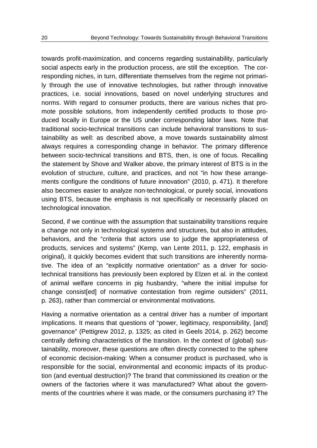towards profit-maximization, and concerns regarding sustainability, particularly social aspects early in the production process, are still the exception. The corresponding niches, in turn, differentiate themselves from the regime not primarily through the use of innovative technologies, but rather through innovative practices, i.e. social innovations, based on novel underlying structures and norms. With regard to consumer products, there are various niches that promote possible solutions, from independently certified products to those produced locally in Europe or the US under corresponding labor laws. Note that traditional socio-technical transitions can include behavioral transitions to sustainability as well: as described above, a move towards sustainability almost always requires a corresponding change in behavior. The primary difference between socio-technical transitions and BTS, then, is one of focus. Recalling the statement by Shove and Walker above, the primary interest of BTS is in the evolution of structure, culture, and practices, and not "in how these arrangements configure the conditions of future innovation" (2010, p. 471). It therefore also becomes easier to analyze non-technological, or purely social, innovations using BTS, because the emphasis is not specifically or necessarily placed on technological innovation.

Second, if we continue with the assumption that sustainability transitions require a change not only in technological systems and structures, but also in attitudes, behaviors, and the "*criteria* that actors use to judge the appropriateness of products, services and systems" (Kemp, van Lente 2011, p. 122, emphasis in original), it quickly becomes evident that such transitions are inherently normative. The idea of an "explicitly normative orientation" as a driver for sociotechnical transitions has previously been explored by Elzen et al. in the context of animal welfare concerns in pig husbandry, "where the initial impulse for change consist[ed] of normative contestation from regime outsiders" (2011, p. 263), rather than commercial or environmental motivations.

Having a normative orientation as a central driver has a number of important implications. It means that questions of "power, legitimacy, responsibility, [and] governance" (Pettigrew 2012, p. 1325; as cited in Geels 2014, p. 262) become centrally defining characteristics of the transition. In the context of (global) sustainability, moreover, these questions are often directly connected to the sphere of economic decision-making: When a consumer product is purchased, who is responsible for the social, environmental and economic impacts of its production (and eventual destruction)? The brand that commissioned its creation or the owners of the factories where it was manufactured? What about the governments of the countries where it was made, or the consumers purchasing it? The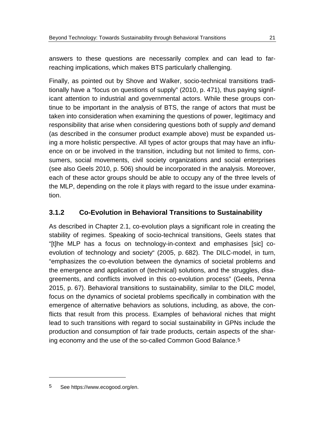answers to these questions are necessarily complex and can lead to farreaching implications, which makes BTS particularly challenging.

Finally, as pointed out by Shove and Walker, socio-technical transitions traditionally have a "focus on questions of supply" (2010, p. 471), thus paying significant attention to industrial and governmental actors. While these groups continue to be important in the analysis of BTS, the range of actors that must be taken into consideration when examining the questions of power, legitimacy and responsibility that arise when considering questions both of supply *and* demand (as described in the consumer product example above) must be expanded using a more holistic perspective. All types of actor groups that may have an influence on or be involved in the transition, including but not limited to firms, consumers, social movements, civil society organizations and social enterprises (see also Geels 2010, p. 506) should be incorporated in the analysis. Moreover, each of these actor groups should be able to occupy any of the three levels of the MLP, depending on the role it plays with regard to the issue under examination.

## **3.1.2 Co-Evolution in Behavioral Transitions to Sustainability**

As described in Chapter [2.1,](#page-8-1) co-evolution plays a significant role in creating the stability of regimes. Speaking of socio-technical transitions, Geels states that "[t]he MLP has a focus on technology-in-context and emphasises [sic] coevolution of technology and society" (2005, p. 682). The DILC-model, in turn, "emphasizes the co-evolution between the dynamics of societal problems and the emergence and application of (technical) solutions, and the struggles, disagreements, and conflicts involved in this co-evolution process" (Geels, Penna 2015, p. 67). Behavioral transitions to sustainability, similar to the DILC model, focus on the dynamics of societal problems specifically in combination with the emergence of alternative behaviors as solutions, including, as above, the conflicts that result from this process. Examples of behavioral niches that might lead to such transitions with regard to social sustainability in GPNs include the production and consumption of fair trade products, certain aspects of the sharing economy and the use of the so-called Common Good Balance.[5](#page-24-0)

 $\overline{a}$ 

<span id="page-24-0"></span><sup>5</sup> See https://www.ecogood.org/en.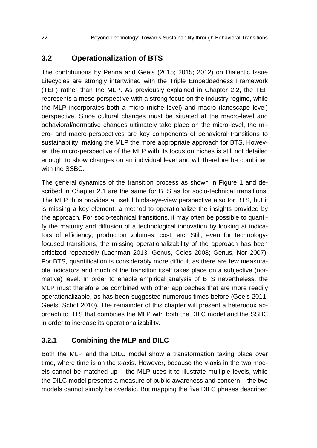## **3.2 Operationalization of BTS**

The contributions by Penna and Geels (2015; 2015; 2012) on Dialectic Issue Lifecycles are strongly intertwined with the Triple Embeddedness Framework (TEF) rather than the MLP. As previously explained in Chapter [2.2,](#page-13-0) the TEF represents a meso-perspective with a strong focus on the industry regime, while the MLP incorporates both a micro (niche level) and macro (landscape level) perspective. Since cultural changes must be situated at the macro-level and behavioral/normative changes ultimately take place on the micro-level, the micro- and macro-perspectives are key components of behavioral transitions to sustainability, making the MLP the more appropriate approach for BTS. However, the micro-perspective of the MLP with its focus on niches is still not detailed enough to show changes on an individual level and will therefore be combined with the SSBC.

The general dynamics of the transition process as shown in [Figure 1](#page-9-0) and described in Chapter [2.1](#page-8-1) are the same for BTS as for socio-technical transitions. The MLP thus provides a useful birds-eye-view perspective also for BTS, but it is missing a key element: a method to operationalize the insights provided by the approach. For socio-technical transitions, it may often be possible to quantify the maturity and diffusion of a technological innovation by looking at indicators of efficiency, production volumes, cost, etc. Still, even for technologyfocused transitions, the missing operationalizability of the approach has been criticized repeatedly (Lachman 2013; Genus, Coles 2008; Genus, Nor 2007). For BTS, quantification is considerably more difficult as there are few measurable indicators and much of the transition itself takes place on a subjective (normative) level. In order to enable empirical analysis of BTS nevertheless, the MLP must therefore be combined with other approaches that are more readily operationalizable, as has been suggested numerous times before (Geels 2011; Geels, Schot 2010). The remainder of this chapter will present a heterodox approach to BTS that combines the MLP with both the DILC model and the SSBC in order to increase its operationalizability.

### **3.2.1 Combining the MLP and DILC**

Both the MLP and the DILC model show a transformation taking place over time, where time is on the x-axis. However, because the y-axis in the two models cannot be matched up  $-$  the MLP uses it to illustrate multiple levels, while the DILC model presents a measure of public awareness and concern – the two models cannot simply be overlaid. But mapping the five DILC phases described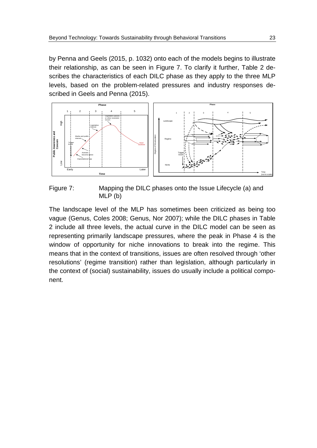by Penna and Geels (2015, p. 1032) onto each of the models begins to illustrate their relationship, as can be seen in [Figure 7.](#page-26-0) To clarify it further, [Table 2](#page-27-0) describes the characteristics of each DILC phase as they apply to the three MLP levels, based on the problem-related pressures and industry responses described in Geels and Penna (2015).



<span id="page-26-0"></span>Figure 7: Mapping the DILC phases onto the Issue Lifecycle (a) and MLP (b)

The landscape level of the MLP has sometimes been criticized as being too vague (Genus, Coles 2008; Genus, Nor 2007); while the DILC phases in [Table](#page-27-0)  [2](#page-27-0) include all three levels, the actual curve in the DILC model can be seen as representing primarily landscape pressures, where the peak in Phase 4 is the window of opportunity for niche innovations to break into the regime. This means that in the context of transitions, issues are often resolved through 'other resolutions' (regime transition) rather than legislation, although particularly in the context of (social) sustainability, issues do usually include a political component.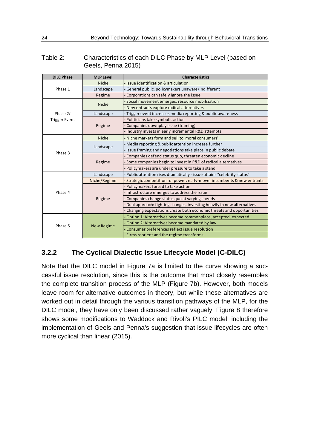#### <span id="page-27-0"></span>Table 2: Characteristics of each DILC Phase by MLP Level (based on Geels, Penna 2015)

| <b>DILC Phase</b>    | <b>MLP Level</b>  | <b>Characteristics</b>                                                 |  |  |
|----------------------|-------------------|------------------------------------------------------------------------|--|--|
|                      | Niche             | - Issue identification & articulation                                  |  |  |
| Phase 1              | Landscape         | General public, policymakers unaware/indifferent                       |  |  |
|                      | Regime            | Corporations can safely ignore the issue                               |  |  |
|                      | Niche             | Social movement emerges, resource mobilization                         |  |  |
|                      |                   | New entrants explore radical alternatives                              |  |  |
| Phase 2/             | Landscape         | - Trigger event increases media reporting & public awareness           |  |  |
| <b>Trigger Event</b> | Regime            | Politicians take symbolic action                                       |  |  |
|                      |                   | Companies downplay issue (framing)                                     |  |  |
|                      |                   | Industry invests in early incremental R&D attempts                     |  |  |
|                      | Niche             | Niche markets form and sell to 'moral consumers'                       |  |  |
|                      | Landscape         | Media reporting & public attention increase further                    |  |  |
| Phase 3              |                   | Issue framing and negotiations take place in public debate             |  |  |
|                      | Regime            | Companies defend status quo, threaten economic decline                 |  |  |
|                      |                   | Some companies begin to invest in R&D of radical alternatives          |  |  |
|                      |                   | Policymakers are under pressure to take a stand                        |  |  |
|                      | Landscape         | Public attention rises dramatically - issue attains "celebrity status" |  |  |
|                      | Niche/Regime      | Strategic competition for power: early-mover incumbents & new entrants |  |  |
|                      |                   | Policymakers forced to take action                                     |  |  |
| Phase 4              | Regime            | Infrastructure emerges to address the issue                            |  |  |
|                      |                   | Companies change status quo at varying speeds                          |  |  |
|                      |                   | Dual approach: fighting changes, investing heavily in new alternatives |  |  |
|                      |                   | Changing expectations create both economic threats and opportunities   |  |  |
|                      | <b>New Regime</b> | Option 1: Alternatives become commonplace, accepted, expected          |  |  |
|                      |                   | Option 2: Alternatives become mandated by law                          |  |  |
| Phase 5              |                   | Consumer preferences reflect issue resolution                          |  |  |
|                      |                   | Firms reorient and the regime transforms                               |  |  |

## **3.2.2 The Cyclical Dialectic Issue Lifecycle Model (C-DILC)**

Note that the DILC model in [Figure 7a](#page-26-0) is limited to the curve showing a successful issue resolution, since this is the outcome that most closely resembles the complete transition process of the MLP [\(Figure 7b](#page-26-0)). However, both models leave room for alternative outcomes in theory, but while these alternatives are worked out in detail through the various transition pathways of the MLP, for the DILC model, they have only been discussed rather vaguely. [Figure 8](#page-28-0) therefore shows some modifications to Waddock and Rivoli's PILC model, including the implementation of Geels and Penna's suggestion that issue lifecycles are often more cyclical than linear (2015).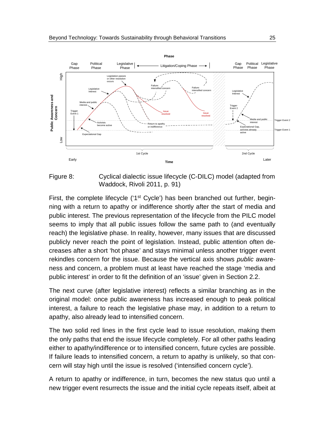

<span id="page-28-0"></span>

First, the complete lifecycle ('1<sup>st</sup> Cycle') has been branched out further, beginning with a return to apathy or indifference shortly after the start of media and public interest. The previous representation of the lifecycle from the PILC model seems to imply that all public issues follow the same path to (and eventually reach) the legislative phase. In reality, however, many issues that are discussed publicly never reach the point of legislation. Instead, public attention often decreases after a short 'hot phase' and stays minimal unless another trigger event rekindles concern for the issue. Because the vertical axis shows *public* awareness and concern, a problem must at least have reached the stage 'media and public interest' in order to fit the definition of an 'issue' given in Section [2.2.](#page-13-0)

The next curve (after legislative interest) reflects a similar branching as in the original model: once public awareness has increased enough to peak political interest, a failure to reach the legislative phase may, in addition to a return to apathy, also already lead to intensified concern.

The two solid red lines in the first cycle lead to issue resolution, making them the only paths that end the issue lifecycle completely. For all other paths leading either to apathy/indifference or to intensified concern, future cycles are possible. If failure leads to intensified concern, a return to apathy is unlikely, so that concern will stay high until the issue is resolved ('intensified concern cycle').

A return to apathy or indifference, in turn, becomes the new status quo until a new trigger event resurrects the issue and the initial cycle repeats itself, albeit at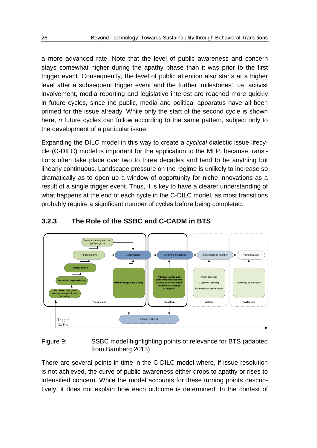a more advanced rate. Note that the level of public awareness and concern stays somewhat higher during the apathy phase than it was prior to the first trigger event. Consequently, the level of public attention also starts at a higher level after a subsequent trigger event and the further 'milestones', i.e. activist involvement, media reporting and legislative interest are reached more quickly in future cycles, since the public, media and political apparatus have all been primed for the issue already. While only the start of the second cycle is shown here, *n* future cycles can follow according to the same pattern, subject only to the development of a particular issue.

Expanding the DILC model in this way to create a *cyclical* dialectic issue lifecycle (C-DILC) model is important for the application to the MLP, because transitions often take place over two to three decades and tend to be anything but linearly continuous. Landscape pressure on the regime is unlikely to increase so dramatically as to open up a window of opportunity for niche innovations as a result of a single trigger event. Thus, it is key to have a clearer understanding of what happens at the end of each cycle in the C-DILC model, as most transitions probably require a significant number of cycles before being completed.



### **3.2.3 The Role of the SSBC and C-CADM in BTS**

<span id="page-29-0"></span>Figure 9: SSBC model highlighting points of relevance for BTS (adapted from Bamberg 2013)

There are several points in time in the C-DILC model where, if issue resolution is not achieved, the curve of public awareness either drops to apathy or rises to intensified concern. While the model accounts for these turning points descriptively, it does not explain how each outcome is determined. In the context of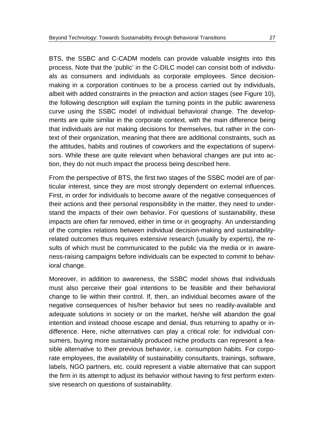BTS, the SSBC and C-CADM models can provide valuable insights into this process. Note that the 'public' in the C-DILC model can consist both of individuals as consumers and individuals as corporate employees. Since decisionmaking in a corporation continues to be a process carried out by individuals, albeit with added constraints in the preaction and action stages (see [Figure 10\)](#page-31-0), the following description will explain the turning points in the public awareness curve using the SSBC model of individual behavioral change. The developments are quite similar in the corporate context, with the main difference being that individuals are not making decisions for themselves, but rather in the context of their organization, meaning that there are additional constraints, such as the attitudes, habits and routines of coworkers and the expectations of supervisors. While these are quite relevant when behavioral changes are put into action, they do not much impact the process being described here.

From the perspective of BTS, the first two stages of the SSBC model are of particular interest, since they are most strongly dependent on external influences. First, in order for individuals to become aware of the negative consequences of their actions and their personal responsibility in the matter, they need to understand the impacts of their own behavior. For questions of sustainability, these impacts are often far removed, either in time or in geography. An understanding of the complex relations between individual decision-making and sustainabilityrelated outcomes thus requires extensive research (usually by experts), the results of which must be communicated to the public via the media or in awareness-raising campaigns before individuals can be expected to commit to behavioral change.

Moreover, in addition to awareness, the SSBC model shows that individuals must also perceive their goal intentions to be feasible and their behavioral change to lie within their control. If, then, an individual becomes aware of the negative consequences of his/her behavior but sees no readily-available and adequate solutions in society or on the market, he/she will abandon the goal intention and instead choose escape and denial, thus returning to apathy or indifference. Here, niche alternatives can play a critical role: for individual consumers, buying more sustainably produced niche products can represent a feasible alternative to their previous behavior, i.e. consumption habits. For corporate employees, the availability of sustainability consultants, trainings, software, labels, NGO partners, etc. could represent a viable alternative that can support the firm in its attempt to adjust its behavior without having to first perform extensive research on questions of sustainability.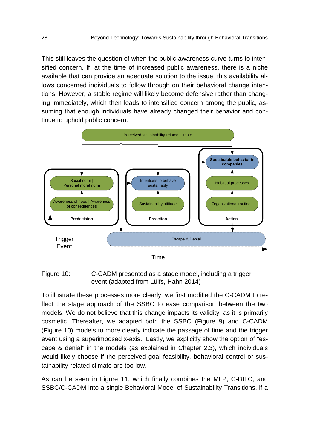This still leaves the question of when the public awareness curve turns to intensified concern. If, at the time of increased public awareness, there is a niche available that can provide an adequate solution to the issue, this availability allows concerned individuals to follow through on their behavioral change intentions. However, a stable regime will likely become defensive rather than changing immediately, which then leads to intensified concern among the public, assuming that enough individuals have already changed their behavior and continue to uphold public concern.



Time

<span id="page-31-0"></span>Figure 10: C-CADM presented as a stage model, including a trigger event (adapted from Lülfs, Hahn 2014)

To illustrate these processes more clearly, we first modified the C-CADM to reflect the stage approach of the SSBC to ease comparison between the two models. We do not believe that this change impacts its validity, as it is primarily cosmetic. Thereafter, we adapted both the SSBC [\(Figure 9\)](#page-29-0) and C-CADM [\(Figure 10\)](#page-31-0) models to more clearly indicate the passage of time and the trigger event using a superimposed x-axis. Lastly, we explicitly show the option of "escape & denial" in the models (as explained in Chapter [2.3\)](#page-17-0), which individuals would likely choose if the perceived goal feasibility, behavioral control or sustainability-related climate are too low.

As can be seen in [Figure 11,](#page-32-0) which finally combines the MLP, C-DILC, and SSBC/C-CADM into a single Behavioral Model of Sustainability Transitions, if a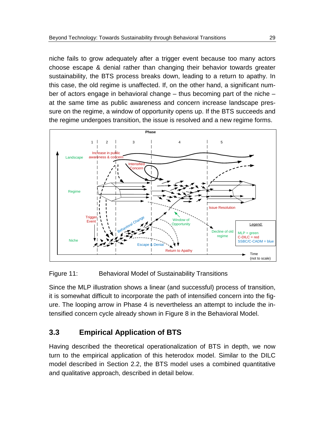niche fails to grow adequately after a trigger event because too many actors choose escape & denial rather than changing their behavior towards greater sustainability, the BTS process breaks down, leading to a return to apathy. In this case, the old regime is unaffected. If, on the other hand, a significant number of actors engage in behavioral change – thus becoming part of the niche – at the same time as public awareness and concern increase landscape pressure on the regime, a window of opportunity opens up. If the BTS succeeds and the regime undergoes transition, the issue is resolved and a new regime forms.



<span id="page-32-0"></span>

Since the MLP illustration shows a linear (and successful) process of transition, it is somewhat difficult to incorporate the path of intensified concern into the figure. The looping arrow in Phase 4 is nevertheless an attempt to include the intensified concern cycle already shown in [Figure 8](#page-28-0) in the Behavioral Model.

# <span id="page-32-1"></span>**3.3 Empirical Application of BTS**

Having described the theoretical operationalization of BTS in depth, we now turn to the empirical application of this heterodox model. Similar to the DILC model described in Section [2.2,](#page-13-0) the BTS model uses a combined quantitative and qualitative approach, described in detail below.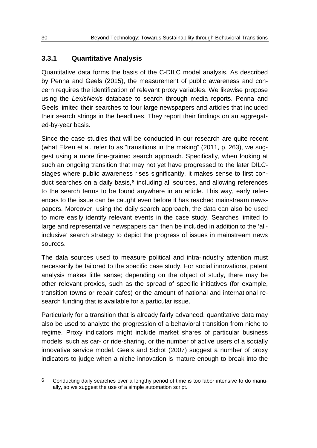#### **3.3.1 Quantitative Analysis**

Quantitative data forms the basis of the C-DILC model analysis. As described by Penna and Geels (2015), the measurement of public awareness and concern requires the identification of relevant proxy variables. We likewise propose using the *LexisNexis* database to search through media reports. Penna and Geels limited their searches to four large newspapers and articles that included their search strings in the headlines. They report their findings on an aggregated-by-year basis.

Since the case studies that will be conducted in our research are quite recent (what Elzen et al. refer to as "transitions in the making" (2011, p. 263), we suggest using a more fine-grained search approach. Specifically, when looking at such an ongoing transition that may not yet have progressed to the later DILCstages where public awareness rises significantly, it makes sense to first con-duct searches on a daily basis,<sup>[6](#page-33-0)</sup> including all sources, and allowing references to the search terms to be found anywhere in an article. This way, early references to the issue can be caught even before it has reached mainstream newspapers. Moreover, using the daily search approach, the data can also be used to more easily identify relevant events in the case study. Searches limited to large and representative newspapers can then be included in addition to the 'allinclusive' search strategy to depict the progress of issues in mainstream news sources.

The data sources used to measure political and intra-industry attention must necessarily be tailored to the specific case study. For social innovations, patent analysis makes little sense; depending on the object of study, there may be other relevant proxies, such as the spread of specific initiatives (for example, transition towns or repair cafes) or the amount of national and international research funding that is available for a particular issue.

Particularly for a transition that is already fairly advanced, quantitative data may also be used to analyze the progression of a behavioral transition from niche to regime. Proxy indicators might include market shares of particular business models, such as car- or ride-sharing, or the number of active users of a socially innovative service model. Geels and Schot (2007) suggest a number of proxy indicators to judge when a niche innovation is mature enough to break into the

-

<span id="page-33-0"></span><sup>6</sup> Conducting daily searches over a lengthy period of time is too labor intensive to do manually, so we suggest the use of a simple automation script.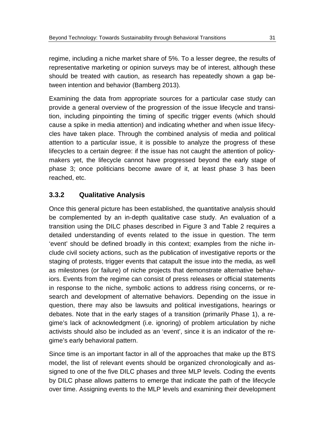regime, including a niche market share of 5%. To a lesser degree, the results of representative marketing or opinion surveys may be of interest, although these should be treated with caution, as research has repeatedly shown a gap between intention and behavior (Bamberg 2013).

Examining the data from appropriate sources for a particular case study can provide a general overview of the progression of the issue lifecycle and transition, including pinpointing the timing of specific trigger events (which should cause a spike in media attention) and indicating whether and when issue lifecycles have taken place. Through the combined analysis of media and political attention to a particular issue, it is possible to analyze the progress of these lifecycles to a certain degree: if the issue has not caught the attention of policymakers yet, the lifecycle cannot have progressed beyond the early stage of phase 3; once politicians become aware of it, at least phase 3 has been reached, etc.

## **3.3.2 Qualitative Analysis**

Once this general picture has been established, the quantitative analysis should be complemented by an in-depth qualitative case study. An evaluation of a transition using the DILC phases described in [Figure 3](#page-15-0) and [Table 2](#page-27-0) requires a detailed understanding of events related to the issue in question. The term 'event' should be defined broadly in this context; examples from the niche include civil society actions, such as the publication of investigative reports or the staging of protests, trigger events that catapult the issue into the media, as well as milestones (or failure) of niche projects that demonstrate alternative behaviors. Events from the regime can consist of press releases or official statements in response to the niche, symbolic actions to address rising concerns, or research and development of alternative behaviors. Depending on the issue in question, there may also be lawsuits and political investigations, hearings or debates. Note that in the early stages of a transition (primarily Phase 1), a regime's lack of acknowledgment (i.e. ignoring) of problem articulation by niche activists should also be included as an 'event', since it is an indicator of the regime's early behavioral pattern.

Since time is an important factor in all of the approaches that make up the BTS model, the list of relevant events should be organized chronologically and assigned to one of the five DILC phases and three MLP levels. Coding the events by DILC phase allows patterns to emerge that indicate the path of the lifecycle over time. Assigning events to the MLP levels and examining their development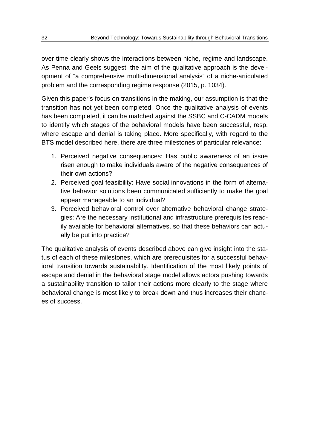over time clearly shows the interactions between niche, regime and landscape. As Penna and Geels suggest, the aim of the qualitative approach is the development of "a comprehensive multi-dimensional analysis" of a niche-articulated problem and the corresponding regime response (2015, p. 1034).

Given this paper's focus on transitions in the making, our assumption is that the transition has not yet been completed. Once the qualitative analysis of events has been completed, it can be matched against the SSBC and C-CADM models to identify which stages of the behavioral models have been successful, resp. where escape and denial is taking place. More specifically, with regard to the BTS model described here, there are three milestones of particular relevance:

- 1. Perceived negative consequences: Has public awareness of an issue risen enough to make individuals aware of the negative consequences of their own actions?
- 2. Perceived goal feasibility: Have social innovations in the form of alternative behavior solutions been communicated sufficiently to make the goal appear manageable to an individual?
- 3. Perceived behavioral control over alternative behavioral change strategies: Are the necessary institutional and infrastructure prerequisites readily available for behavioral alternatives, so that these behaviors can actually be put into practice?

The qualitative analysis of events described above can give insight into the status of each of these milestones, which are prerequisites for a successful behavioral transition towards sustainability. Identification of the most likely points of escape and denial in the behavioral stage model allows actors pushing towards a sustainability transition to tailor their actions more clearly to the stage where behavioral change is most likely to break down and thus increases their chances of success.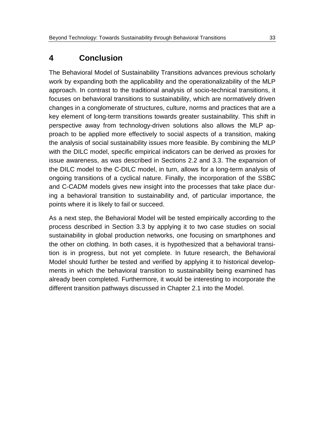# <span id="page-36-0"></span>**4 Conclusion**

The Behavioral Model of Sustainability Transitions advances previous scholarly work by expanding both the applicability and the operationalizability of the MLP approach. In contrast to the traditional analysis of socio-technical transitions, it focuses on behavioral transitions to sustainability, which are normatively driven changes in a conglomerate of structures, culture, norms and practices that are a key element of long-term transitions towards greater sustainability. This shift in perspective away from technology-driven solutions also allows the MLP approach to be applied more effectively to social aspects of a transition, making the analysis of social sustainability issues more feasible. By combining the MLP with the DILC model, specific empirical indicators can be derived as proxies for issue awareness, as was described in Sections [2.2](#page-13-0) and [3.3.](#page-32-1) The expansion of the DILC model to the C-DILC model, in turn, allows for a long-term analysis of ongoing transitions of a cyclical nature. Finally, the incorporation of the SSBC and C-CADM models gives new insight into the processes that take place during a behavioral transition to sustainability and, of particular importance, the points where it is likely to fail or succeed.

As a next step, the Behavioral Model will be tested empirically according to the process described in Section [3.3](#page-32-1) by applying it to two case studies on social sustainability in global production networks, one focusing on smartphones and the other on clothing. In both cases, it is hypothesized that a behavioral transition is in progress, but not yet complete. In future research, the Behavioral Model should further be tested and verified by applying it to historical developments in which the behavioral transition to sustainability being examined has already been completed. Furthermore, it would be interesting to incorporate the different transition pathways discussed in Chapter [2.1](#page-8-1) into the Model.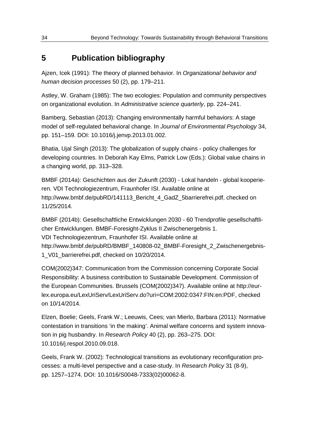# **5 Publication bibliography**

Ajzen, Icek (1991): The theory of planned behavior. In *Organizational behavior and human decision processes* 50 (2), pp. 179–211.

Astley, W. Graham (1985): The two ecologies: Population and community perspectives on organizational evolution. In *Administrative science quarterly*, pp. 224–241.

Bamberg, Sebastian (2013): Changing environmentally harmful behaviors: A stage model of self-regulated behavioral change. In *Journal of Environmental Psychology* 34, pp. 151–159. DOI: 10.1016/j.jenvp.2013.01.002.

Bhatia, Ujal Singh (2013): The globalization of supply chains - policy challenges for developing countries. In Deborah Kay Elms, Patrick Low (Eds.): Global value chains in a changing world, pp. 313–328.

BMBF (2014a): Geschichten aus der Zukunft (2030) - Lokal handeln - global kooperieren. VDI Technologiezentrum, Fraunhofer ISI. Available online at http://www.bmbf.de/pubRD/141113\_Bericht\_4\_GadZ\_5barrierefrei.pdf, checked on 11/25/2014.

BMBF (2014b): Gesellschaftliche Entwicklungen 2030 - 60 Trendprofile gesellschaftlicher Entwicklungen. BMBF-Foresight-Zyklus II Zwischenergebnis 1. VDI Technologiezentrum, Fraunhofer ISI. Available online at http://www.bmbf.de/pubRD/BMBF\_140808-02\_BMBF-Foresight\_2\_Zwischenergebnis-1\_V01\_barrierefrei.pdf, checked on 10/20/2014.

COM(2002)347: Communication from the Commission concerning Corporate Social Responsibility: A business contribution to Sustainable Development. Commission of the European Communities. Brussels (COM(2002)347). Available online at http://eurlex.europa.eu/LexUriServ/LexUriServ.do?uri=COM:2002:0347:FIN:en:PDF, checked on 10/14/2014.

Elzen, Boelie; Geels, Frank W.; Leeuwis, Cees; van Mierlo, Barbara (2011): Normative contestation in transitions 'in the making'. Animal welfare concerns and system innovation in pig husbandry. In *Research Policy* 40 (2), pp. 263–275. DOI: 10.1016/j.respol.2010.09.018.

Geels, Frank W. (2002): Technological transitions as evolutionary reconfiguration processes: a multi-level perspective and a case-study. In *Research Policy* 31 (8-9), pp. 1257–1274. DOI: 10.1016/S0048-7333(02)00062-8.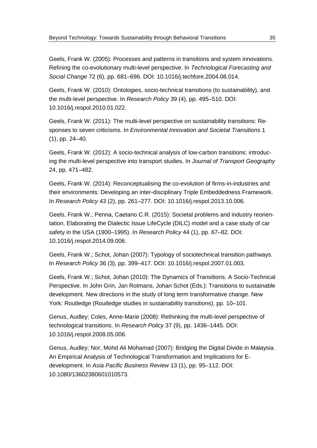Geels, Frank W. (2005): Processes and patterns in transitions and system innovations. Refining the co-evolutionary multi-level perspective. In *Technological Forecasting and Social Change* 72 (6), pp. 681–696. DOI: 10.1016/j.techfore.2004.08.014.

Geels, Frank W. (2010): Ontologies, socio-technical transitions (to sustainability), and the multi-level perspective. In *Research Policy* 39 (4), pp. 495–510. DOI: 10.1016/j.respol.2010.01.022.

Geels, Frank W. (2011): The multi-level perspective on sustainability transitions: Responses to seven criticisms. In *Environmental Innovation and Societal Transitions* 1 (1), pp. 24–40.

Geels, Frank W. (2012): A socio-technical analysis of low-carbon transitions: introducing the multi-level perspective into transport studies. In *Journal of Transport Geography*  24, pp. 471–482.

Geels, Frank W. (2014): Reconceptualising the co-evolution of firms-in-industries and their environments: Developing an inter-disciplinary Triple Embeddedness Framework. In *Research Policy* 43 (2), pp. 261–277. DOI: 10.1016/j.respol.2013.10.006.

Geels, Frank W.; Penna, Caetano C.R. (2015): Societal problems and industry reorientation. Elaborating the Dialectic Issue LifeCycle (DILC) model and a case study of car safety in the USA (1900–1995). In *Research Policy* 44 (1), pp. 67–82. DOI: 10.1016/j.respol.2014.09.006.

Geels, Frank W.; Schot, Johan (2007): Typology of sociotechnical transition pathways. In *Research Policy* 36 (3), pp. 399–417. DOI: 10.1016/j.respol.2007.01.003.

Geels, Frank W.; Schot, Johan (2010): The Dynamics of Transitions. A Socio-Technical Perspective. In John Grin, Jan Rotmans, Johan Schot (Eds.): Transitions to sustainable development. New directions in the study of long term transformative change. New York: Routledge (Routledge studies in sustainability transitions), pp. 10–101.

Genus, Audley; Coles, Anne-Marie (2008): Rethinking the multi-level perspective of technological transitions. In *Research Policy* 37 (9), pp. 1436–1445. DOI: 10.1016/j.respol.2008.05.006.

Genus, Audley; Nor, Mohd Ali Mohamad (2007): Bridging the Digital Divide in Malaysia. An Empirical Analysis of Technological Transformation and Implications for Edevelopment. In *Asia Pacific Business Review* 13 (1), pp. 95–112. DOI: 10.1080/13602380601010573.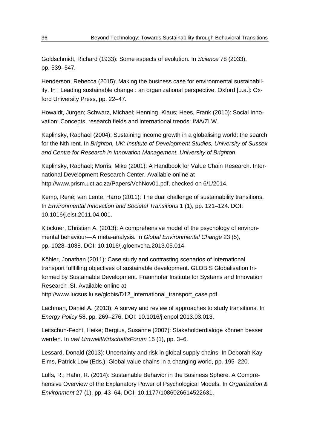Goldschmidt, Richard (1933): Some aspects of evolution. In *Science* 78 (2033), pp. 539–547.

Henderson, Rebecca (2015): Making the business case for environmental sustainability. In : Leading sustainable change : an organizational perspective. Oxford [u.a.]: Oxford University Press, pp. 22–47.

Howaldt, Jürgen; Schwarz, Michael; Henning, Klaus; Hees, Frank (2010): Social Innovation: Concepts, research fields and international trends: IMA/ZLW.

Kaplinsky, Raphael (2004): Sustaining income growth in a globalising world: the search for the Nth rent. In *Brighton, UK: Institute of Development Studies, University of Sussex and Centre for Research in Innovation Management, University of Brighton*.

Kaplinsky, Raphael; Morris, Mike (2001): A Handbook for Value Chain Research. International Development Research Center. Available online at http://www.prism.uct.ac.za/Papers/VchNov01.pdf, checked on 6/1/2014.

Kemp, René; van Lente, Harro (2011): The dual challenge of sustainability transitions. In *Environmental Innovation and Societal Transitions* 1 (1), pp. 121–124. DOI: 10.1016/j.eist.2011.04.001.

Klöckner, Christian A. (2013): A comprehensive model of the psychology of environmental behaviour—A meta-analysis. In *Global Environmental Change* 23 (5), pp. 1028–1038. DOI: 10.1016/j.gloenvcha.2013.05.014.

Köhler, Jonathan (2011): Case study and contrasting scenarios of international transport fullfilling objectives of sustainable development. GLOBIS Globalisation Informed by Sustainable Development. Fraunhofer Institute for Systems and Innovation Research ISI. Available online at

http://www.lucsus.lu.se/globis/D12\_international\_transport\_case.pdf.

Lachman, Daniël A. (2013): A survey and review of approaches to study transitions. In *Energy Policy* 58, pp. 269–276. DOI: 10.1016/j.enpol.2013.03.013.

Leitschuh-Fecht, Heike; Bergius, Susanne (2007): Stakeholderdialoge können besser werden. In *uwf UmweltWirtschaftsForum* 15 (1), pp. 3–6.

Lessard, Donald (2013): Uncertainty and risk in global supply chains. In Deborah Kay Elms, Patrick Low (Eds.): Global value chains in a changing world, pp. 195–220.

Lülfs, R.; Hahn, R. (2014): Sustainable Behavior in the Business Sphere. A Comprehensive Overview of the Explanatory Power of Psychological Models. In *Organization & Environment* 27 (1), pp. 43–64. DOI: 10.1177/1086026614522631.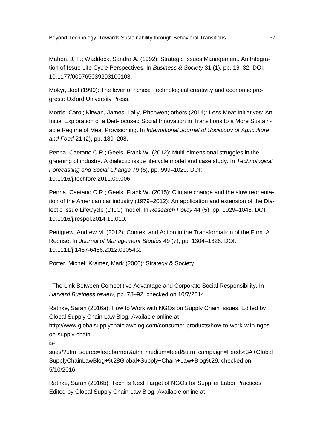Mahon, J. F.; Waddock, Sandra A. (1992): Strategic Issues Management. An Integration of Issue Life Cycle Perspectives. In *Business & Society* 31 (1), pp. 19–32. DOI: 10.1177/000765039203100103.

Mokyr, Joel (1990): The lever of riches: Technological creativity and economic progress: Oxford University Press.

Morris, Carol; Kirwan, James; Lally, Rhonwen; others (2014): Less Meat Initiatives: An Initial Exploration of a Diet-focused Social Innovation in Transitions to a More Sustainable Regime of Meat Provisioning. In *International Journal of Sociology of Agriculture and Food* 21 (2), pp. 189–208.

Penna, Caetano C.R.; Geels, Frank W. (2012): Multi-dimensional struggles in the greening of industry. A dialectic issue lifecycle model and case study. In *Technological Forecasting and Social Change* 79 (6), pp. 999–1020. DOI: 10.1016/j.techfore.2011.09.006.

Penna, Caetano C.R.; Geels, Frank W. (2015): Climate change and the slow reorientation of the American car industry (1979–2012): An application and extension of the Dialectic Issue LifeCycle (DILC) model. In *Research Policy* 44 (5), pp. 1029–1048. DOI: 10.1016/j.respol.2014.11.010.

Pettigrew, Andrew M. (2012): Context and Action in the Transformation of the Firm. A Reprise. In *Journal of Management Studies* 49 (7), pp. 1304–1328. DOI: 10.1111/j.1467-6486.2012.01054.x.

Porter, Michel; Kramer, Mark (2006): Strategy & Society

. The Link Between Competitive Advantage and Corporate Social Responsibility. In *Harvard Business review*, pp. 78–92, checked on 10/7/2014.

Rathke, Sarah (2016a): How to Work with NGOs on Supply Chain Issues. Edited by Global Supply Chain Law Blog. Available online at

http://www.globalsupplychainlawblog.com/consumer-products/how-to-work-with-ngoson-supply-chain-

is-

sues/?utm\_source=feedburner&utm\_medium=feed&utm\_campaign=Feed%3A+Global SupplyChainLawBlog+%28Global+Supply+Chain+Law+Blog%29, checked on 5/10/2016.

Rathke, Sarah (2016b): Tech Is Next Target of NGOs for Supplier Labor Practices. Edited by Global Supply Chain Law Blog. Available online at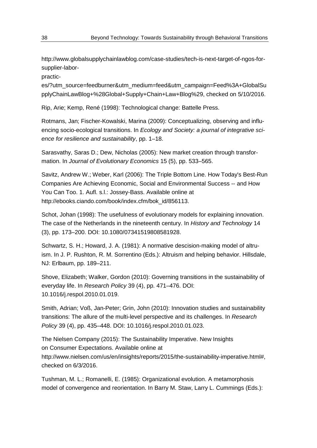http://www.globalsupplychainlawblog.com/case-studies/tech-is-next-target-of-ngos-forsupplier-labor-

practic-

es/?utm\_source=feedburner&utm\_medium=feed&utm\_campaign=Feed%3A+GlobalSu pplyChainLawBlog+%28Global+Supply+Chain+Law+Blog%29, checked on 5/10/2016.

Rip, Arie; Kemp, René (1998): Technological change: Battelle Press.

Rotmans, Jan; Fischer-Kowalski, Marina (2009): Conceptualizing, observing and influencing socio-ecological transitions. In *Ecology and Society: a journal of integrative science for resilience and sustainability*, pp. 1–18.

Sarasvathy, Saras D.; Dew, Nicholas (2005): New market creation through transformation. In *Journal of Evolutionary Economics* 15 (5), pp. 533–565.

Savitz, Andrew W.; Weber, Karl (2006): The Triple Bottom Line. How Today's Best-Run Companies Are Achieving Economic, Social and Environmental Success -- and How You Can Too. 1. Aufl. s.l.: Jossey-Bass. Available online at http://ebooks.ciando.com/book/index.cfm/bok\_id/856113.

Schot, Johan (1998): The usefulness of evolutionary models for explaining innovation. The case of the Netherlands in the nineteenth century. In *History and Technology* 14 (3), pp. 173–200. DOI: 10.1080/07341519808581928.

Schwartz, S. H.; Howard, J. A. (1981): A normative descision-making model of altruism. In J. P. Rushton, R. M. Sorrentino (Eds.): Altruism and helping behavior. Hillsdale, NJ: Erlbaum, pp. 189–211.

Shove, Elizabeth; Walker, Gordon (2010): Governing transitions in the sustainability of everyday life. In *Research Policy* 39 (4), pp. 471–476. DOI: 10.1016/j.respol.2010.01.019.

Smith, Adrian; Voß, Jan-Peter; Grin, John (2010): Innovation studies and sustainability transitions: The allure of the multi-level perspective and its challenges. In *Research Policy* 39 (4), pp. 435–448. DOI: 10.1016/j.respol.2010.01.023.

The Nielsen Company (2015): The Sustainability Imperative. New Insights on Consumer Expectations. Available online at http://www.nielsen.com/us/en/insights/reports/2015/the-sustainability-imperative.html#, checked on 6/3/2016.

Tushman, M. L.; Romanelli, E. (1985): Organizational evolution. A metamorphosis model of convergence and reorientation. In Barry M. Staw, Larry L. Cummings (Eds.):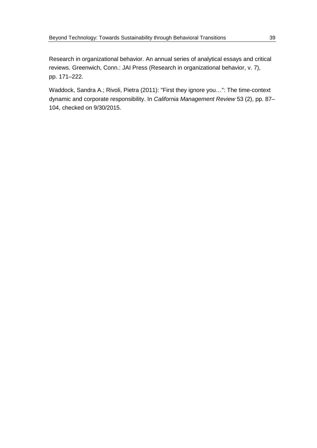Research in organizational behavior. An annual series of analytical essays and critical reviews. Greenwich, Conn.: JAI Press (Research in organizational behavior, v. 7), pp. 171–222.

Waddock, Sandra A.; Rivoli, Pietra (2011): "First they ignore you…": The time-context dynamic and corporate responsibility. In *California Management Review* 53 (2), pp. 87– 104, checked on 9/30/2015.